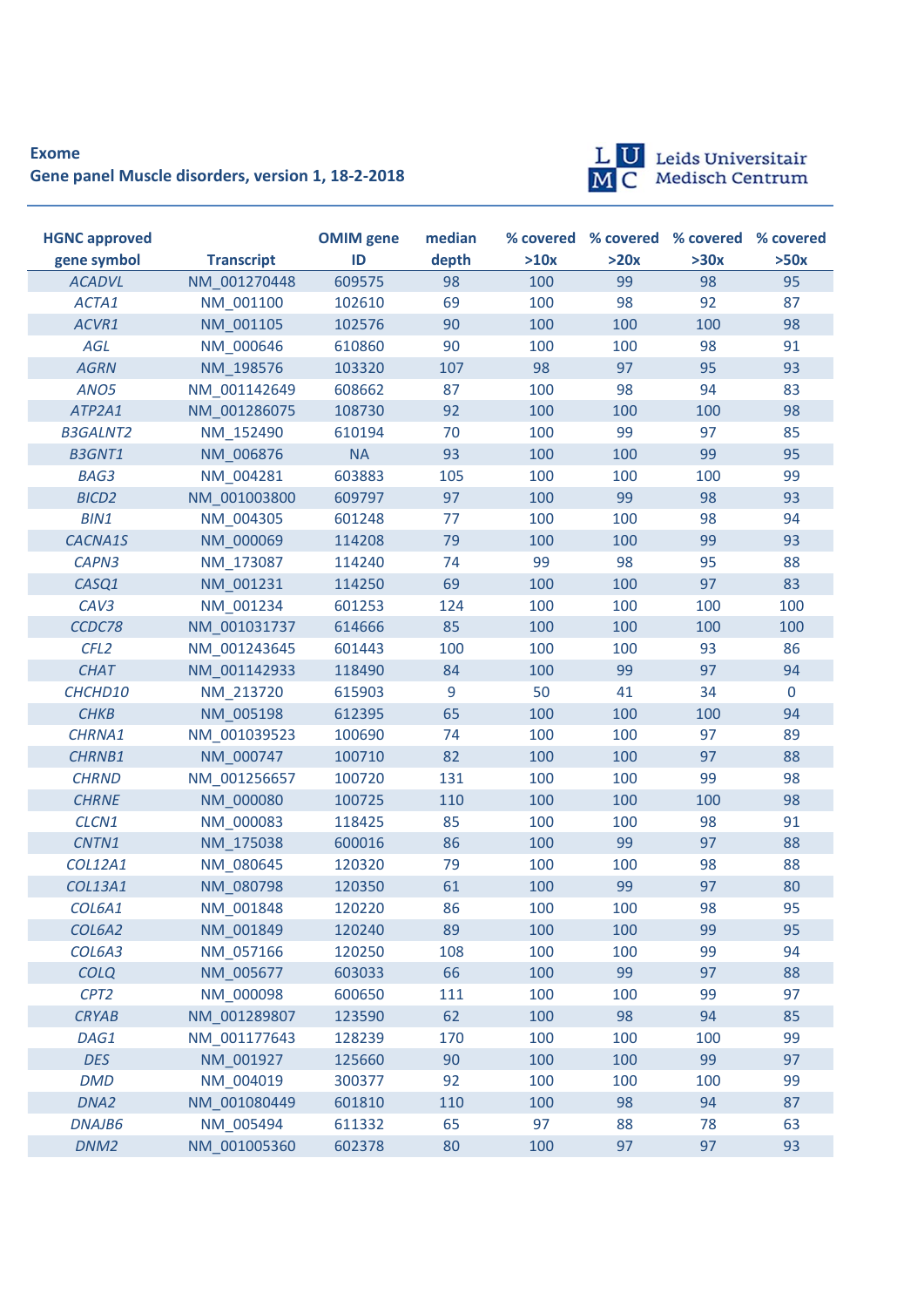## **Exome Gene panel Muscle disorders, version 1, 18-2-2018**



*DNM2* NM\_001005360 602378 80 100 97 97 93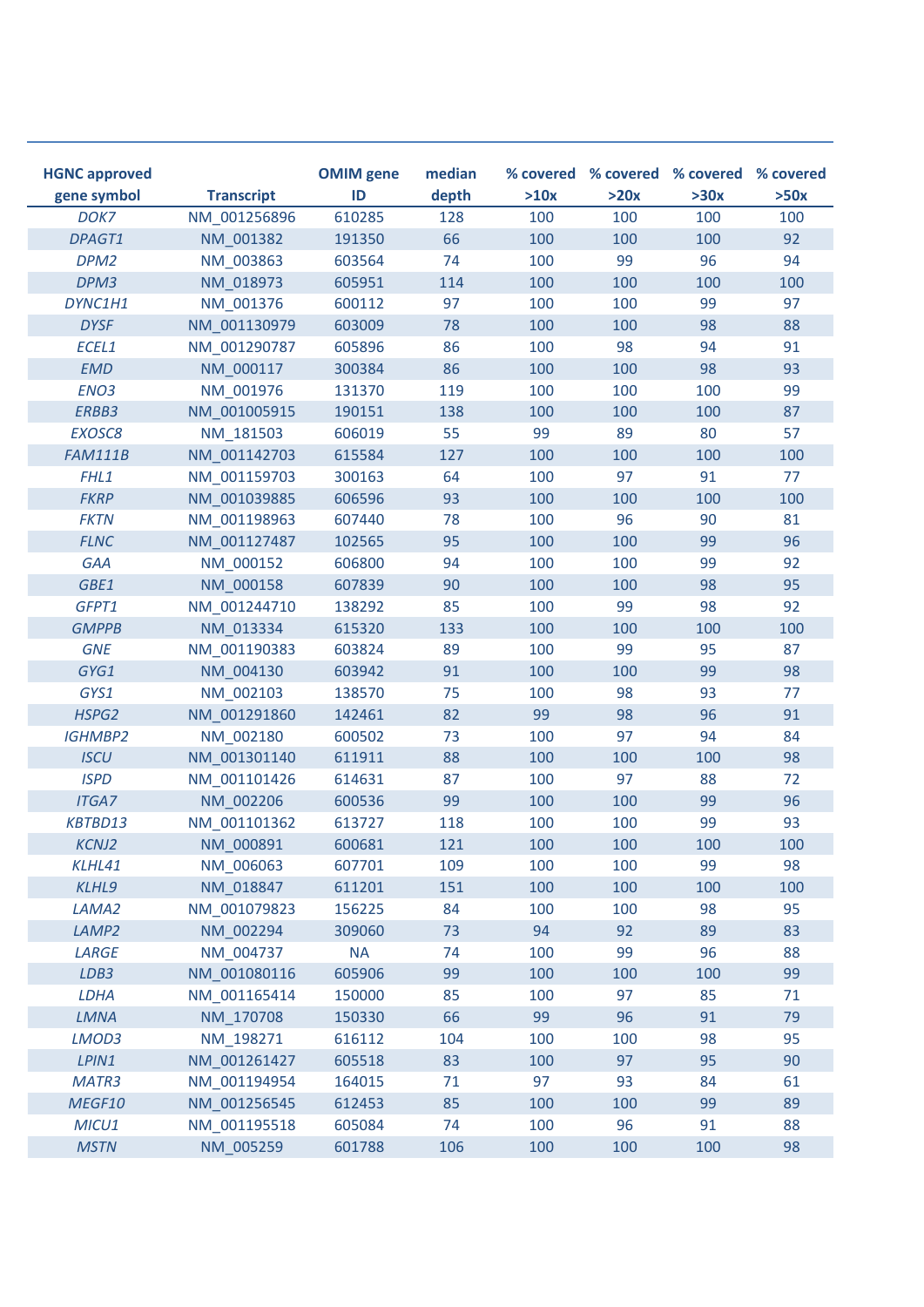| <b>HGNC approved</b><br>gene symbol | <b>Transcript</b> | <b>OMIM</b> gene<br>ID | median<br>depth | >10x | >20x | % covered % covered % covered % covered<br>>30x | >50x |
|-------------------------------------|-------------------|------------------------|-----------------|------|------|-------------------------------------------------|------|
| DOK7                                | NM 001256896      | 610285                 | 128             | 100  | 100  | 100                                             | 100  |
| DPAGT1                              | NM 001382         | 191350                 | 66              | 100  | 100  | 100                                             | 92   |
| DPM <sub>2</sub>                    | NM 003863         | 603564                 | 74              | 100  | 99   | 96                                              | 94   |
| DPM3                                | NM 018973         | 605951                 | 114             | 100  | 100  | 100                                             | 100  |
| DYNC1H1                             | NM_001376         | 600112                 | 97              | 100  | 100  | 99                                              | 97   |
| <b>DYSF</b>                         | NM 001130979      | 603009                 | 78              | 100  | 100  | 98                                              | 88   |
| ECEL1                               | NM 001290787      | 605896                 | 86              | 100  | 98   | 94                                              | 91   |
| <b>EMD</b>                          | NM 000117         | 300384                 | 86              | 100  | 100  | 98                                              | 93   |
| ENO <sub>3</sub>                    | NM 001976         | 131370                 | 119             | 100  | 100  | 100                                             | 99   |
| ERBB3                               | NM 001005915      | 190151                 | 138             | 100  | 100  | 100                                             | 87   |
| EXOSC8                              | NM 181503         | 606019                 | 55              | 99   | 89   | 80                                              | 57   |
| <b>FAM111B</b>                      | NM 001142703      | 615584                 | 127             | 100  | 100  | 100                                             | 100  |
| FHL1                                | NM 001159703      | 300163                 | 64              | 100  | 97   | 91                                              | 77   |
| <b>FKRP</b>                         | NM 001039885      | 606596                 | 93              | 100  | 100  | 100                                             | 100  |
| <b>FKTN</b>                         | NM 001198963      | 607440                 | 78              | 100  | 96   | 90                                              | 81   |
| <b>FLNC</b>                         | NM 001127487      | 102565                 | 95              | 100  | 100  | 99                                              | 96   |
| <b>GAA</b>                          | NM 000152         | 606800                 | 94              | 100  | 100  | 99                                              | 92   |
| GBE1                                | NM 000158         | 607839                 | 90              | 100  | 100  | 98                                              | 95   |
| GFPT1                               | NM 001244710      | 138292                 | 85              | 100  | 99   | 98                                              | 92   |
| <b>GMPPB</b>                        | NM 013334         | 615320                 | 133             | 100  | 100  | 100                                             | 100  |
| <b>GNE</b>                          | NM 001190383      | 603824                 | 89              | 100  | 99   | 95                                              | 87   |
| GYG1                                | NM 004130         | 603942                 | 91              | 100  | 100  | 99                                              | 98   |
| GYS1                                | NM 002103         | 138570                 | 75              | 100  | 98   | 93                                              | 77   |
| HSPG2                               | NM 001291860      | 142461                 | 82              | 99   | 98   | 96                                              | 91   |
| <b>IGHMBP2</b>                      | NM_002180         | 600502                 | 73              | 100  | 97   | 94                                              | 84   |
| <b>ISCU</b>                         | NM 001301140      | 611911                 | 88              | 100  | 100  | 100                                             | 98   |
| <b>ISPD</b>                         | NM 001101426      | 614631                 | 87              | 100  | 97   | 88                                              | 72   |
| <b>ITGA7</b>                        | NM 002206         | 600536                 | 99              | 100  | 100  | 99                                              | 96   |
| KBTBD13                             | NM 001101362      | 613727                 | 118             | 100  | 100  | 99                                              | 93   |
| <b>KCNJ2</b>                        | NM 000891         | 600681                 | 121             | 100  | 100  | 100                                             | 100  |
| KLHL41                              | NM 006063         | 607701                 | 109             | 100  | 100  | 99                                              | 98   |
| KLHL9                               | NM_018847         | 611201                 | 151             | 100  | 100  | 100                                             | 100  |
| LAMA2                               | NM_001079823      | 156225                 | 84              | 100  | 100  | 98                                              | 95   |
| LAMP <sub>2</sub>                   | NM_002294         | 309060                 | 73              | 94   | 92   | 89                                              | 83   |
| LARGE                               | NM 004737         | <b>NA</b>              | 74              | 100  | 99   | 96                                              | 88   |
| LDB3                                | NM 001080116      | 605906                 | 99              | 100  | 100  | 100                                             | 99   |
| LDHA                                | NM_001165414      | 150000                 | 85              | 100  | 97   | 85                                              | 71   |
| <b>LMNA</b>                         | NM 170708         | 150330                 | 66              | 99   | 96   | 91                                              | 79   |
| LMOD3                               | NM_198271         | 616112                 | 104             | 100  | 100  | 98                                              | 95   |
| LPIN1                               | NM_001261427      | 605518                 | 83              | 100  | 97   | 95                                              | 90   |
| MATR3                               | NM 001194954      | 164015                 | 71              | 97   | 93   | 84                                              | 61   |
| MEGF10                              | NM 001256545      | 612453                 | 85              | 100  | 100  | 99                                              | 89   |
| MICU1                               | NM_001195518      | 605084                 | 74              | 100  | 96   | 91                                              | 88   |
| <b>MSTN</b>                         | NM_005259         | 601788                 | 106             | 100  | 100  | 100                                             | 98   |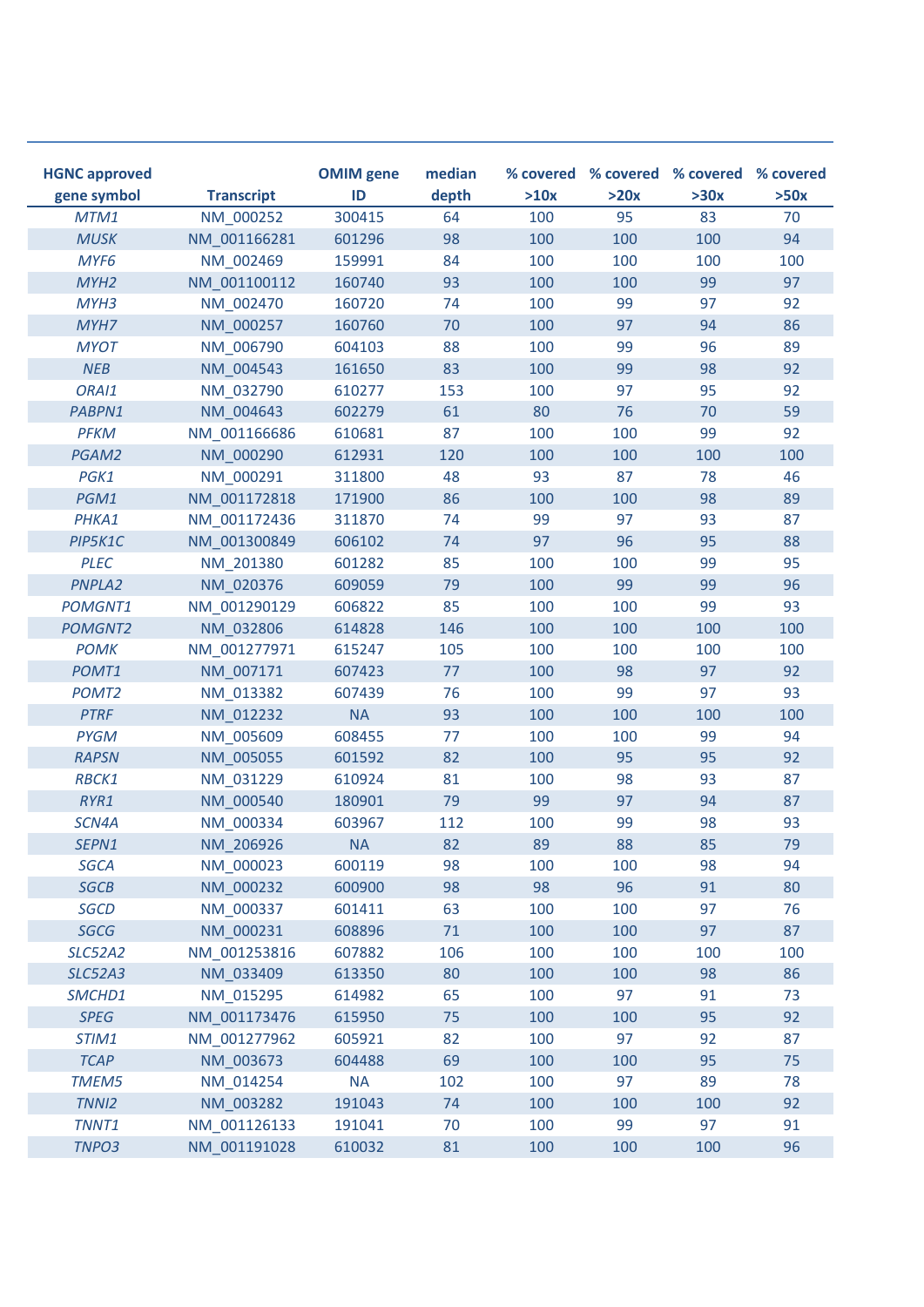| <b>HGNC approved</b><br>gene symbol | <b>Transcript</b> | <b>OMIM</b> gene<br>ID | median<br>depth | >10x | >20x | % covered % covered % covered % covered<br>>30x | >50x |
|-------------------------------------|-------------------|------------------------|-----------------|------|------|-------------------------------------------------|------|
| MTM1                                | NM 000252         | 300415                 | 64              | 100  | 95   | 83                                              | 70   |
| <b>MUSK</b>                         | NM 001166281      | 601296                 | 98              | 100  | 100  | 100                                             | 94   |
| MYF <sub>6</sub>                    | NM 002469         | 159991                 | 84              | 100  | 100  | 100                                             | 100  |
| MYH <sub>2</sub>                    | NM 001100112      | 160740                 | 93              | 100  | 100  | 99                                              | 97   |
| MYH3                                | NM 002470         | 160720                 | 74              | 100  | 99   | 97                                              | 92   |
| MYH7                                | NM 000257         | 160760                 | 70              | 100  | 97   | 94                                              | 86   |
| <b>MYOT</b>                         | NM 006790         | 604103                 | 88              | 100  | 99   | 96                                              | 89   |
| NEB                                 | NM 004543         | 161650                 | 83              | 100  | 99   | 98                                              | 92   |
| ORAI1                               | NM 032790         | 610277                 | 153             | 100  | 97   | 95                                              | 92   |
| PABPN1                              | NM 004643         | 602279                 | 61              | 80   | 76   | 70                                              | 59   |
| <b>PFKM</b>                         | NM 001166686      | 610681                 | 87              | 100  | 100  | 99                                              | 92   |
| PGAM2                               | NM 000290         | 612931                 | 120             | 100  | 100  | 100                                             | 100  |
| PGK1                                | NM 000291         | 311800                 | 48              | 93   | 87   | 78                                              | 46   |
| PGM1                                | NM 001172818      | 171900                 | 86              | 100  | 100  | 98                                              | 89   |
| PHKA1                               | NM 001172436      | 311870                 | 74              | 99   | 97   | 93                                              | 87   |
| PIP5K1C                             | NM 001300849      | 606102                 | 74              | 97   | 96   | 95                                              | 88   |
| <b>PLEC</b>                         | NM_201380         | 601282                 | 85              | 100  | 100  | 99                                              | 95   |
| PNPLA2                              | NM 020376         | 609059                 | 79              | 100  | 99   | 99                                              | 96   |
| <b>POMGNT1</b>                      | NM 001290129      | 606822                 | 85              | 100  | 100  | 99                                              | 93   |
| <b>POMGNT2</b>                      | NM 032806         | 614828                 | 146             | 100  | 100  | 100                                             | 100  |
| <b>POMK</b>                         | NM 001277971      | 615247                 | 105             | 100  | 100  | 100                                             | 100  |
| POMT1                               | NM_007171         | 607423                 | 77              | 100  | 98   | 97                                              | 92   |
| POMT <sub>2</sub>                   | NM 013382         | 607439                 | 76              | 100  | 99   | 97                                              | 93   |
| <b>PTRF</b>                         | NM 012232         | <b>NA</b>              | 93              | 100  | 100  | 100                                             | 100  |
| <b>PYGM</b>                         | NM 005609         | 608455                 | 77              | 100  | 100  | 99                                              | 94   |
| <b>RAPSN</b>                        | NM_005055         | 601592                 | 82              | 100  | 95   | 95                                              | 92   |
| RBCK1                               | NM 031229         | 610924                 | 81              | 100  | 98   | 93                                              | 87   |
| RYR1                                | NM 000540         | 180901                 | 79              | 99   | 97   | 94                                              | 87   |
| SCN4A                               | NM 000334         | 603967                 | 112             | 100  | 99   | 98                                              | 93   |
| SEPN1                               | NM 206926         | <b>NA</b>              | 82              | 89   | 88   | 85                                              | 79   |
| <b>SGCA</b>                         | NM_000023         | 600119                 | 98              | 100  | 100  | 98                                              | 94   |
| <b>SGCB</b>                         | NM_000232         | 600900                 | 98              | 98   | 96   | 91                                              | 80   |
| <b>SGCD</b>                         | NM_000337         | 601411                 | 63              | 100  | 100  | 97                                              | 76   |
| SGCG                                | NM_000231         | 608896                 | 71              | 100  | 100  | 97                                              | 87   |
| <b>SLC52A2</b>                      | NM 001253816      | 607882                 | 106             | 100  | 100  | 100                                             | 100  |
| <b>SLC52A3</b>                      | NM_033409         | 613350                 | 80              | 100  | 100  | 98                                              | 86   |
| SMCHD1                              | NM_015295         | 614982                 | 65              | 100  | 97   | 91                                              | 73   |
| <b>SPEG</b>                         | NM 001173476      | 615950                 | 75              | 100  | 100  | 95                                              | 92   |
| STIM1                               | NM_001277962      | 605921                 | 82              | 100  | 97   | 92                                              | 87   |
| <b>TCAP</b>                         | NM_003673         | 604488                 | 69              | 100  | 100  | 95                                              | 75   |
| TMEM5                               | NM_014254         | <b>NA</b>              | 102             | 100  | 97   | 89                                              | 78   |
| TNNI <sub>2</sub>                   | NM_003282         | 191043                 | 74              | 100  | 100  | 100                                             | 92   |
| TNNT1                               | NM_001126133      | 191041                 | 70              | 100  | 99   | 97                                              | 91   |
| TNPO3                               | NM_001191028      | 610032                 | 81              | 100  | 100  | 100                                             | 96   |